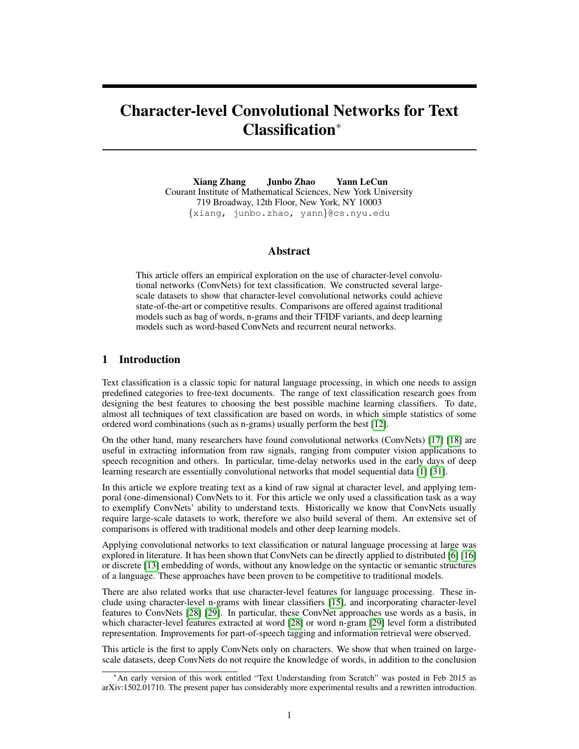# Character-level Convolutional Networks for Text Classification<sup>∗</sup>

Xiang Zhang Junbo Zhao Yann LeCun Courant Institute of Mathematical Sciences, New York University 719 Broadway, 12th Floor, New York, NY 10003 {xiang, junbo.zhao, yann}@cs.nyu.edu

#### Abstract

This article offers an empirical exploration on the use of character-level convolutional networks (ConvNets) for text classification. We constructed several largescale datasets to show that character-level convolutional networks could achieve state-of-the-art or competitive results. Comparisons are offered against traditional models such as bag of words, n-grams and their TFIDF variants, and deep learning models such as word-based ConvNets and recurrent neural networks.

## 1 Introduction

Text classification is a classic topic for natural language processing, in which one needs to assign predefined categories to free-text documents. The range of text classification research goes from designing the best features to choosing the best possible machine learning classifiers. To date, almost all techniques of text classification are based on words, in which simple statistics of some ordered word combinations (such as n-grams) usually perform the best [12].

On the other hand, many researchers have found convolutional networks (ConvNets) [17] [18] are useful in extracting information from raw signals, ranging from computer vision applications to speech recognition and others. In particular, time-delay networks used in the early days of deep learning research are essentially convolutional networks that model sequential data [1] [31].

In this article we explore treating text as a kind of raw signal at character level, and applying temporal (one-dimensional) ConvNets to it. For this article we only used a classification task as a way to exemplify ConvNets' ability to understand texts. Historically we know that ConvNets usually require large-scale datasets to work, therefore we also build several of them. An extensive set of comparisons is offered with traditional models and other deep learning models.

Applying convolutional networks to text classification or natural language processing at large was explored in literature. It has been shown that ConvNets can be directly applied to distributed [6] [16] or discrete [13] embedding of words, without any knowledge on the syntactic or semantic structures of a language. These approaches have been proven to be competitive to traditional models.

There are also related works that use character-level features for language processing. These include using character-level n-grams with linear classifiers [15], and incorporating character-level features to ConvNets [28] [29]. In particular, these ConvNet approaches use words as a basis, in which character-level features extracted at word [28] or word n-gram [29] level form a distributed representation. Improvements for part-of-speech tagging and information retrieval were observed.

This article is the first to apply ConvNets only on characters. We show that when trained on largescale datasets, deep ConvNets do not require the knowledge of words, in addition to the conclusion

<sup>∗</sup>An early version of this work entitled "Text Understanding from Scratch" was posted in Feb 2015 as arXiv:1502.01710. The present paper has considerably more experimental results and a rewritten introduction.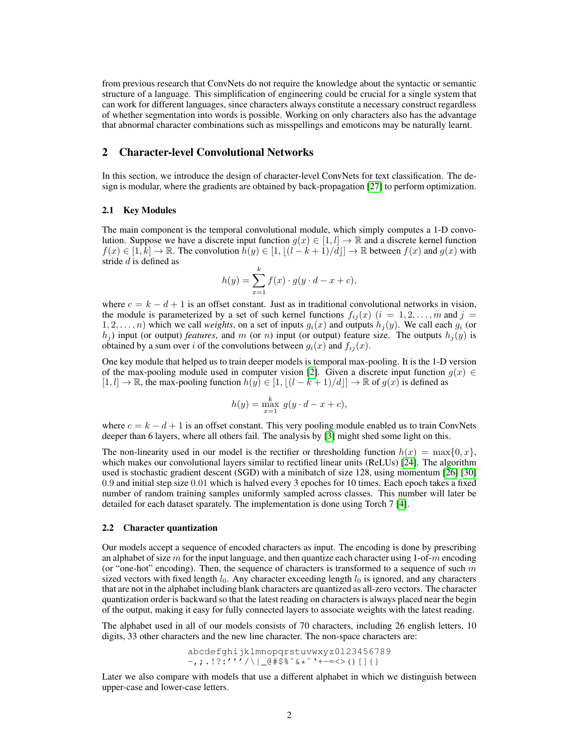from previous research that ConvNets do not require the knowledge about the syntactic or semantic structure of a language. This simplification of engineering could be crucial for a single system that can work for different languages, since characters always constitute a necessary construct regardless of whether segmentation into words is possible. Working on only characters also has the advantage that abnormal character combinations such as misspellings and emoticons may be naturally learnt.

## 2 Character-level Convolutional Networks

In this section, we introduce the design of character-level ConvNets for text classification. The design is modular, where the gradients are obtained by back-propagation [27] to perform optimization.

#### 2.1 Key Modules

The main component is the temporal convolutional module, which simply computes a 1-D convolution. Suppose we have a discrete input function  $g(x) \in [1, l] \to \mathbb{R}$  and a discrete kernel function  $f(x) \in [1, k] \to \mathbb{R}$ . The convolution  $\bar{h}(y) \in [1, |(l - k + 1)/d|] \to \mathbb{R}$  between  $f(x)$  and  $g(x)$  with stride d is defined as

$$
h(y) = \sum_{x=1}^{k} f(x) \cdot g(y \cdot d - x + c),
$$

where  $c = k - d + 1$  is an offset constant. Just as in traditional convolutional networks in vision, the module is parameterized by a set of such kernel functions  $f_{ij}(x)$   $(i = 1, 2, \ldots, m$  and  $j =$  $1, 2, \ldots, n$ ) which we call *weights*, on a set of inputs  $g_i(x)$  and outputs  $h_j(y)$ . We call each  $g_i$  (or  $h_j$ ) input (or output) *features*, and m (or n) input (or output) feature size. The outputs  $h_j(y)$  is obtained by a sum over i of the convolutions between  $g_i(x)$  and  $f_{ij}(x)$ .

One key module that helped us to train deeper models is temporal max-pooling. It is the 1-D version of the max-pooling module used in computer vision [2]. Given a discrete input function  $q(x) \in$  $[1, l] \to \mathbb{R}$ , the max-pooling function  $h(y) \in [1, |(l - k + 1)/d|] \to \mathbb{R}$  of  $g(x)$  is defined as

$$
h(y) = \max_{x=1}^{k} g(y \cdot d - x + c),
$$

where  $c = k - d + 1$  is an offset constant. This very pooling module enabled us to train ConvNets deeper than 6 layers, where all others fail. The analysis by [3] might shed some light on this.

The non-linearity used in our model is the rectifier or thresholding function  $h(x) = \max\{0, x\}$ , which makes our convolutional layers similar to rectified linear units (ReLUs) [24]. The algorithm used is stochastic gradient descent (SGD) with a minibatch of size 128, using momentum [26] [30] 0.9 and initial step size 0.01 which is halved every 3 epoches for 10 times. Each epoch takes a fixed number of random training samples uniformly sampled across classes. This number will later be detailed for each dataset sparately. The implementation is done using Torch 7 [4].

#### 2.2 Character quantization

Our models accept a sequence of encoded characters as input. The encoding is done by prescribing an alphabet of size  $m$  for the input language, and then quantize each character using  $1$ -of- $m$  encoding (or "one-hot" encoding). Then, the sequence of characters is transformed to a sequence of such  $m$ sized vectors with fixed length  $l_0$ . Any character exceeding length  $l_0$  is ignored, and any characters that are not in the alphabet including blank characters are quantized as all-zero vectors. The character quantization order is backward so that the latest reading on characters is always placed near the begin of the output, making it easy for fully connected layers to associate weights with the latest reading.

The alphabet used in all of our models consists of 70 characters, including 26 english letters, 10 digits, 33 other characters and the new line character. The non-space characters are:

> abcdefghijklmnopqrstuvwxyz0123456789 -,;.!?:'''/\|\_@#\$%^&\*<sup>~</sup>'+-=<>()[]{}

Later we also compare with models that use a different alphabet in which we distinguish between upper-case and lower-case letters.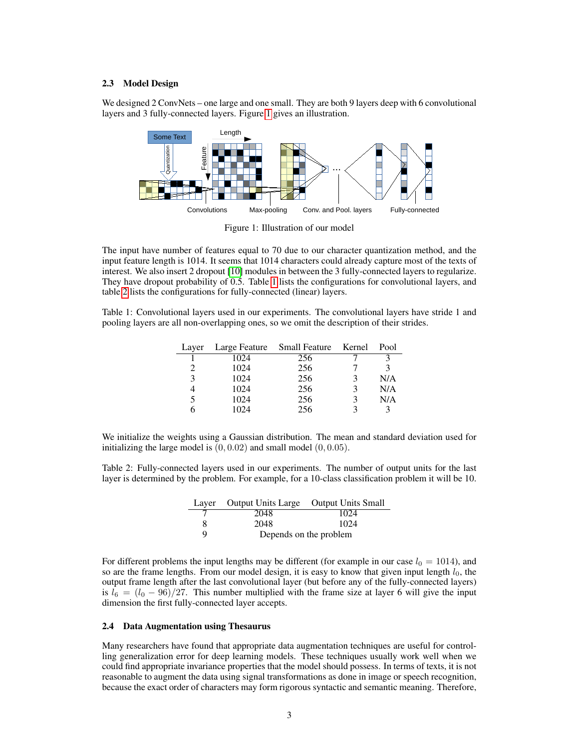#### 2.3 Model Design

We designed 2 ConvNets – one large and one small. They are both 9 layers deep with 6 convolutional layers and 3 fully-connected layers. Figure 1 gives an illustration.



Figure 1: Illustration of our model

The input have number of features equal to 70 due to our character quantization method, and the input feature length is 1014. It seems that 1014 characters could already capture most of the texts of interest. We also insert 2 dropout [10] modules in between the 3 fully-connected layers to regularize. They have dropout probability of 0.5. Table 1 lists the configurations for convolutional layers, and table 2 lists the configurations for fully-connected (linear) layers.

Table 1: Convolutional layers used in our experiments. The convolutional layers have stride 1 and pooling layers are all non-overlapping ones, so we omit the description of their strides.

| Layer         | Large Feature | Small Feature | Kernel | Pool |
|---------------|---------------|---------------|--------|------|
|               | 1024          | 256           |        |      |
| $\mathcal{D}$ | 1024          | 256           |        |      |
| 3             | 1024          | 256           |        | N/A  |
|               | 1024          | 256           |        | N/A  |
| 5             | 1024          | 256           |        | N/A  |
|               | 1024          | 256           |        |      |

We initialize the weights using a Gaussian distribution. The mean and standard deviation used for initializing the large model is  $(0, 0.02)$  and small model  $(0, 0.05)$ .

Table 2: Fully-connected layers used in our experiments. The number of output units for the last layer is determined by the problem. For example, for a 10-class classification problem it will be 10.

|   | Layer Output Units Large Output Units Small |                        |
|---|---------------------------------------------|------------------------|
|   | 2048                                        | 1024                   |
|   | 2048                                        | 1024                   |
| Q |                                             | Depends on the problem |

For different problems the input lengths may be different (for example in our case  $l_0 = 1014$ ), and so are the frame lengths. From our model design, it is easy to know that given input length  $l_0$ , the output frame length after the last convolutional layer (but before any of the fully-connected layers) is  $l_6 = (l_0 - 96)/27$ . This number multiplied with the frame size at layer 6 will give the input dimension the first fully-connected layer accepts.

#### 2.4 Data Augmentation using Thesaurus

Many researchers have found that appropriate data augmentation techniques are useful for controlling generalization error for deep learning models. These techniques usually work well when we could find appropriate invariance properties that the model should possess. In terms of texts, it is not reasonable to augment the data using signal transformations as done in image or speech recognition, because the exact order of characters may form rigorous syntactic and semantic meaning. Therefore,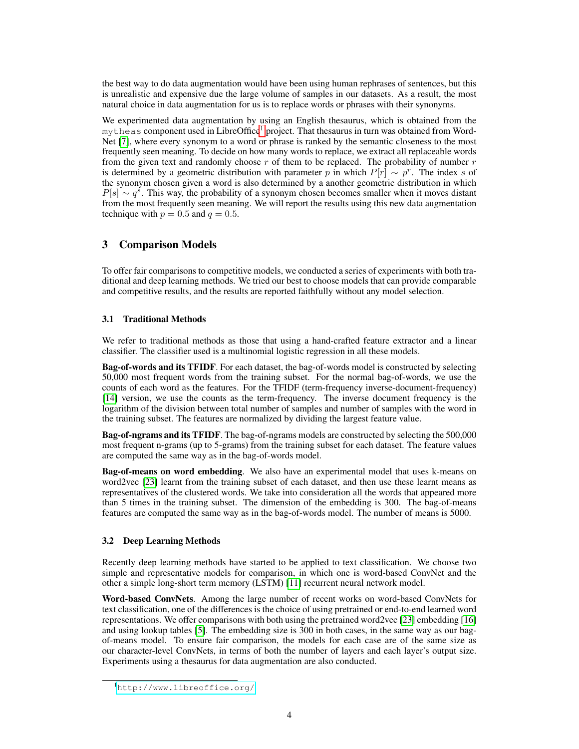the best way to do data augmentation would have been using human rephrases of sentences, but this is unrealistic and expensive due the large volume of samples in our datasets. As a result, the most natural choice in data augmentation for us is to replace words or phrases with their synonyms.

We experimented data augmentation by using an English thesaurus, which is obtained from the  $m$ <sup>theas</sup> component used in LibreOffice<sup>1</sup> project. That thesaurus in turn was obtained from Word-Net [7], where every synonym to a word or phrase is ranked by the semantic closeness to the most frequently seen meaning. To decide on how many words to replace, we extract all replaceable words from the given text and randomly choose  $r$  of them to be replaced. The probability of number  $r$ is determined by a geometric distribution with parameter p in which  $P[r] \sim p^r$ . The index s of the synonym chosen given a word is also determined by a another geometric distribution in which  $P[s] \sim q^s$ . This way, the probability of a synonym chosen becomes smaller when it moves distant from the most frequently seen meaning. We will report the results using this new data augmentation technique with  $p = 0.5$  and  $q = 0.5$ .

# 3 Comparison Models

To offer fair comparisons to competitive models, we conducted a series of experiments with both traditional and deep learning methods. We tried our best to choose models that can provide comparable and competitive results, and the results are reported faithfully without any model selection.

## 3.1 Traditional Methods

We refer to traditional methods as those that using a hand-crafted feature extractor and a linear classifier. The classifier used is a multinomial logistic regression in all these models.

Bag-of-words and its TFIDF. For each dataset, the bag-of-words model is constructed by selecting 50,000 most frequent words from the training subset. For the normal bag-of-words, we use the counts of each word as the features. For the TFIDF (term-frequency inverse-document-frequency) [14] version, we use the counts as the term-frequency. The inverse document frequency is the logarithm of the division between total number of samples and number of samples with the word in the training subset. The features are normalized by dividing the largest feature value.

Bag-of-ngrams and its TFIDF. The bag-of-ngrams models are constructed by selecting the 500,000 most frequent n-grams (up to 5-grams) from the training subset for each dataset. The feature values are computed the same way as in the bag-of-words model.

Bag-of-means on word embedding. We also have an experimental model that uses k-means on word2vec [23] learnt from the training subset of each dataset, and then use these learnt means as representatives of the clustered words. We take into consideration all the words that appeared more than 5 times in the training subset. The dimension of the embedding is 300. The bag-of-means features are computed the same way as in the bag-of-words model. The number of means is 5000.

## 3.2 Deep Learning Methods

Recently deep learning methods have started to be applied to text classification. We choose two simple and representative models for comparison, in which one is word-based ConvNet and the other a simple long-short term memory (LSTM) [11] recurrent neural network model.

Word-based ConvNets. Among the large number of recent works on word-based ConvNets for text classification, one of the differences is the choice of using pretrained or end-to-end learned word representations. We offer comparisons with both using the pretrained word2vec [23] embedding [16] and using lookup tables [5]. The embedding size is 300 in both cases, in the same way as our bagof-means model. To ensure fair comparison, the models for each case are of the same size as our character-level ConvNets, in terms of both the number of layers and each layer's output size. Experiments using a thesaurus for data augmentation are also conducted.

<sup>1</sup><http://www.libreoffice.org/>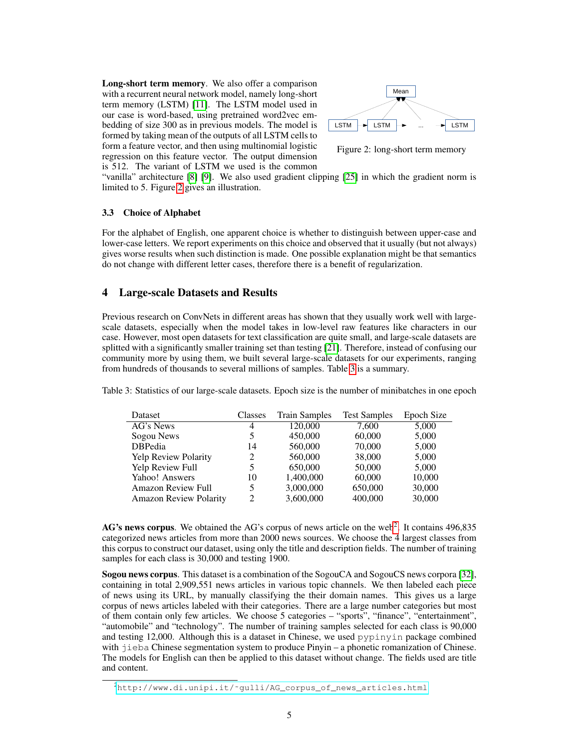Long-short term memory. We also offer a comparison with a recurrent neural network model, namely long-short term memory (LSTM) [11]. The LSTM model used in our case is word-based, using pretrained word2vec embedding of size 300 as in previous models. The model is formed by taking mean of the outputs of all LSTM cells to form a feature vector, and then using multinomial logistic regression on this feature vector. The output dimension is 512. The variant of LSTM we used is the common



Figure 2: long-short term memory

"vanilla" architecture [8] [9]. We also used gradient clipping [25] in which the gradient norm is limited to 5. Figure 2 gives an illustration.

## 3.3 Choice of Alphabet

For the alphabet of English, one apparent choice is whether to distinguish between upper-case and lower-case letters. We report experiments on this choice and observed that it usually (but not always) gives worse results when such distinction is made. One possible explanation might be that semantics do not change with different letter cases, therefore there is a benefit of regularization.

## 4 Large-scale Datasets and Results

Previous research on ConvNets in different areas has shown that they usually work well with largescale datasets, especially when the model takes in low-level raw features like characters in our case. However, most open datasets for text classification are quite small, and large-scale datasets are splitted with a significantly smaller training set than testing [21]. Therefore, instead of confusing our community more by using them, we built several large-scale datasets for our experiments, ranging from hundreds of thousands to several millions of samples. Table 3 is a summary.

Table 3: Statistics of our large-scale datasets. Epoch size is the number of minibatches in one epoch

| Dataset                       | Classes        | <b>Train Samples</b> | <b>Test Samples</b> | Epoch Size |
|-------------------------------|----------------|----------------------|---------------------|------------|
| AG's News                     | 4              | 120,000              | 7.600               | 5,000      |
| Sogou News                    | 5              | 450,000              | 60,000              | 5,000      |
| <b>DBPedia</b>                | 14             | 560,000              | 70,000              | 5,000      |
| Yelp Review Polarity          | 2              | 560,000              | 38,000              | 5,000      |
| Yelp Review Full              | 5              | 650,000              | 50,000              | 5,000      |
| Yahoo! Answers                | 10             | 1,400,000            | 60,000              | 10,000     |
| <b>Amazon Review Full</b>     | 5              | 3,000,000            | 650,000             | 30,000     |
| <b>Amazon Review Polarity</b> | $\overline{2}$ | 3,600,000            | 400,000             | 30,000     |

AG's news corpus. We obtained the AG's corpus of news article on the web<sup>2</sup>. It contains 496,835 categorized news articles from more than 2000 news sources. We choose the 4 largest classes from this corpus to construct our dataset, using only the title and description fields. The number of training samples for each class is 30,000 and testing 1900.

Sogou news corpus. This dataset is a combination of the SogouCA and SogouCS news corpora [32], containing in total 2,909,551 news articles in various topic channels. We then labeled each piece of news using its URL, by manually classifying the their domain names. This gives us a large corpus of news articles labeled with their categories. There are a large number categories but most of them contain only few articles. We choose 5 categories – "sports", "finance", "entertainment", "automobile" and "technology". The number of training samples selected for each class is 90,000 and testing 12,000. Although this is a dataset in Chinese, we used pypinyin package combined with  $\exists i \in \mathbb{R}$  Chinese segmentation system to produce Pinyin – a phonetic romanization of Chinese. The models for English can then be applied to this dataset without change. The fields used are title and content.

<sup>2</sup>[http://www.di.unipi.it/˜gulli/AG\\_corpus\\_of\\_news\\_articles.html](http://www.di.unipi.it/~gulli/AG_corpus_of_news_articles.html)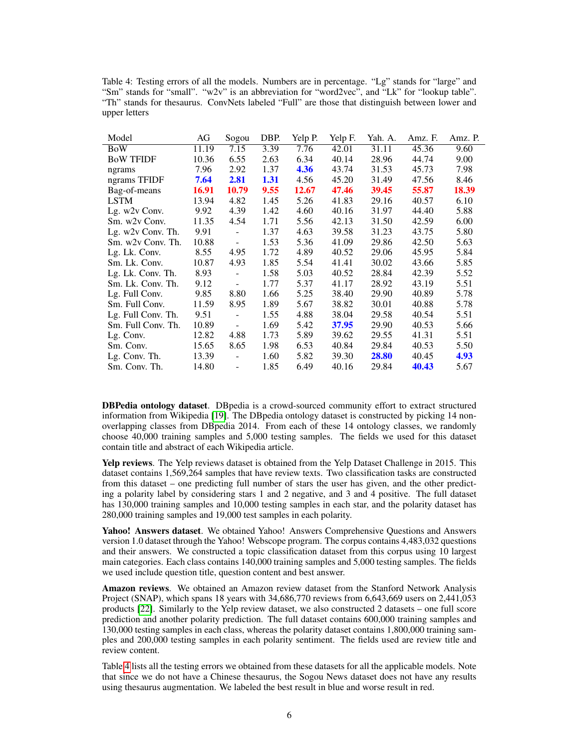| Table 4: Testing errors of all the models. Numbers are in percentage. "Lg" stands for "large" and  |  |  |  |  |  |  |  |  |
|----------------------------------------------------------------------------------------------------|--|--|--|--|--|--|--|--|
| "Sm" stands for "small". " $w2v$ " is an abbreviation for "word2vec", and "Lk" for "lookup table". |  |  |  |  |  |  |  |  |
| "Th" stands for the saurus. ConvNets labeled "Full" are those that distinguish between lower and   |  |  |  |  |  |  |  |  |
| upper letters                                                                                      |  |  |  |  |  |  |  |  |

| AG    | Sogou                        | DBP. | Yelp P. | Yelp F. | Yah. A. | Amz. F. | Amz. P. |
|-------|------------------------------|------|---------|---------|---------|---------|---------|
| 11.19 | 7.15                         | 3.39 | 7.76    | 42.01   | 31.11   | 45.36   | 9.60    |
| 10.36 | 6.55                         | 2.63 | 6.34    | 40.14   | 28.96   | 44.74   | 9.00    |
| 7.96  | 2.92                         | 1.37 | 4.36    | 43.74   | 31.53   | 45.73   | 7.98    |
| 7.64  | 2.81                         | 1.31 | 4.56    | 45.20   | 31.49   | 47.56   | 8.46    |
| 16.91 | 10.79                        | 9.55 | 12.67   | 47.46   | 39.45   | 55.87   | 18.39   |
| 13.94 | 4.82                         | 1.45 | 5.26    | 41.83   | 29.16   | 40.57   | 6.10    |
| 9.92  | 4.39                         | 1.42 | 4.60    | 40.16   | 31.97   | 44.40   | 5.88    |
| 11.35 | 4.54                         | 1.71 | 5.56    | 42.13   | 31.50   | 42.59   | 6.00    |
| 9.91  |                              | 1.37 | 4.63    | 39.58   | 31.23   | 43.75   | 5.80    |
| 10.88 | $\overline{\phantom{a}}$     | 1.53 | 5.36    | 41.09   | 29.86   | 42.50   | 5.63    |
| 8.55  | 4.95                         | 1.72 | 4.89    | 40.52   | 29.06   | 45.95   | 5.84    |
| 10.87 | 4.93                         | 1.85 | 5.54    | 41.41   | 30.02   | 43.66   | 5.85    |
| 8.93  | ÷,                           | 1.58 | 5.03    | 40.52   | 28.84   | 42.39   | 5.52    |
| 9.12  | ۰                            | 1.77 | 5.37    | 41.17   | 28.92   | 43.19   | 5.51    |
| 9.85  | 8.80                         | 1.66 | 5.25    | 38.40   | 29.90   | 40.89   | 5.78    |
| 11.59 | 8.95                         | 1.89 | 5.67    | 38.82   | 30.01   | 40.88   | 5.78    |
| 9.51  | ÷,                           | 1.55 | 4.88    | 38.04   | 29.58   | 40.54   | 5.51    |
| 10.89 | $\qquad \qquad \blacksquare$ | 1.69 | 5.42    | 37.95   | 29.90   | 40.53   | 5.66    |
| 12.82 | 4.88                         | 1.73 | 5.89    | 39.62   | 29.55   | 41.31   | 5.51    |
| 15.65 | 8.65                         | 1.98 | 6.53    | 40.84   | 29.84   | 40.53   | 5.50    |
| 13.39 | ÷,                           | 1.60 | 5.82    | 39.30   | 28.80   | 40.45   | 4.93    |
| 14.80 | $\overline{\phantom{a}}$     | 1.85 | 6.49    | 40.16   | 29.84   | 40.43   | 5.67    |
|       |                              |      |         |         |         |         |         |

DBPedia ontology dataset. DBpedia is a crowd-sourced community effort to extract structured information from Wikipedia [19]. The DBpedia ontology dataset is constructed by picking 14 nonoverlapping classes from DBpedia 2014. From each of these 14 ontology classes, we randomly choose 40,000 training samples and 5,000 testing samples. The fields we used for this dataset contain title and abstract of each Wikipedia article.

Yelp reviews. The Yelp reviews dataset is obtained from the Yelp Dataset Challenge in 2015. This dataset contains 1,569,264 samples that have review texts. Two classification tasks are constructed from this dataset – one predicting full number of stars the user has given, and the other predicting a polarity label by considering stars 1 and 2 negative, and 3 and 4 positive. The full dataset has 130,000 training samples and 10,000 testing samples in each star, and the polarity dataset has 280,000 training samples and 19,000 test samples in each polarity.

Yahoo! Answers dataset. We obtained Yahoo! Answers Comprehensive Questions and Answers version 1.0 dataset through the Yahoo! Webscope program. The corpus contains 4,483,032 questions and their answers. We constructed a topic classification dataset from this corpus using 10 largest main categories. Each class contains 140,000 training samples and 5,000 testing samples. The fields we used include question title, question content and best answer.

Amazon reviews. We obtained an Amazon review dataset from the Stanford Network Analysis Project (SNAP), which spans 18 years with 34,686,770 reviews from 6,643,669 users on 2,441,053 products [22]. Similarly to the Yelp review dataset, we also constructed 2 datasets – one full score prediction and another polarity prediction. The full dataset contains 600,000 training samples and 130,000 testing samples in each class, whereas the polarity dataset contains 1,800,000 training samples and 200,000 testing samples in each polarity sentiment. The fields used are review title and review content.

Table 4 lists all the testing errors we obtained from these datasets for all the applicable models. Note that since we do not have a Chinese thesaurus, the Sogou News dataset does not have any results using thesaurus augmentation. We labeled the best result in blue and worse result in red.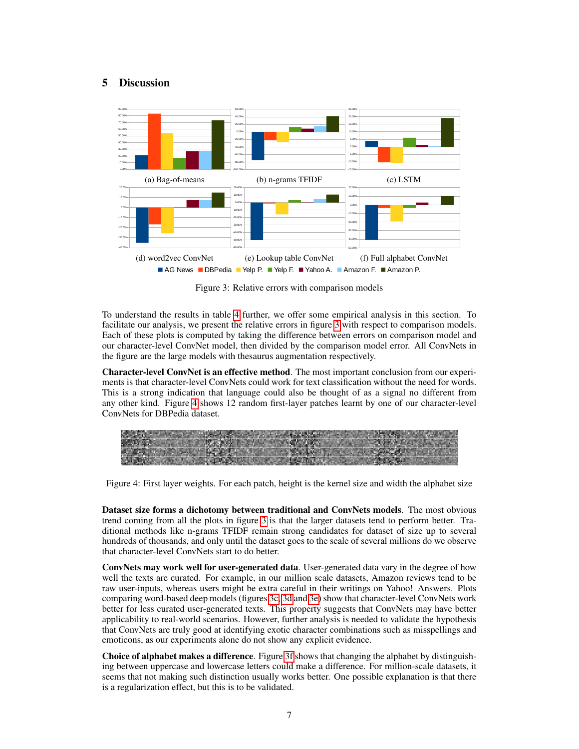# 5 Discussion



Figure 3: Relative errors with comparison models

To understand the results in table 4 further, we offer some empirical analysis in this section. To facilitate our analysis, we present the relative errors in figure 3 with respect to comparison models. Each of these plots is computed by taking the difference between errors on comparison model and our character-level ConvNet model, then divided by the comparison model error. All ConvNets in the figure are the large models with thesaurus augmentation respectively.

Character-level ConvNet is an effective method. The most important conclusion from our experiments is that character-level ConvNets could work for text classification without the need for words. This is a strong indication that language could also be thought of as a signal no different from any other kind. Figure 4 shows 12 random first-layer patches learnt by one of our character-level ConvNets for DBPedia dataset.

Figure 4: First layer weights. For each patch, height is the kernel size and width the alphabet size

Dataset size forms a dichotomy between traditional and ConvNets models. The most obvious trend coming from all the plots in figure 3 is that the larger datasets tend to perform better. Traditional methods like n-grams TFIDF remain strong candidates for dataset of size up to several hundreds of thousands, and only until the dataset goes to the scale of several millions do we observe that character-level ConvNets start to do better.

ConvNets may work well for user-generated data. User-generated data vary in the degree of how well the texts are curated. For example, in our million scale datasets, Amazon reviews tend to be raw user-inputs, whereas users might be extra careful in their writings on Yahoo! Answers. Plots comparing word-based deep models (figures 3c, 3d and 3e) show that character-level ConvNets work better for less curated user-generated texts. This property suggests that ConvNets may have better applicability to real-world scenarios. However, further analysis is needed to validate the hypothesis that ConvNets are truly good at identifying exotic character combinations such as misspellings and emoticons, as our experiments alone do not show any explicit evidence.

Choice of alphabet makes a difference. Figure 3f shows that changing the alphabet by distinguishing between uppercase and lowercase letters could make a difference. For million-scale datasets, it seems that not making such distinction usually works better. One possible explanation is that there is a regularization effect, but this is to be validated.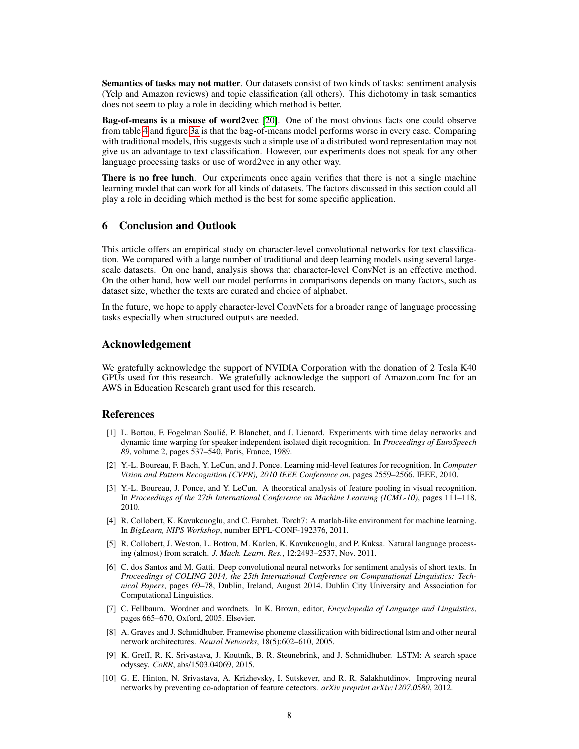Semantics of tasks may not matter. Our datasets consist of two kinds of tasks: sentiment analysis (Yelp and Amazon reviews) and topic classification (all others). This dichotomy in task semantics does not seem to play a role in deciding which method is better.

Bag-of-means is a misuse of word2vec [20]. One of the most obvious facts one could observe from table 4 and figure 3a is that the bag-of-means model performs worse in every case. Comparing with traditional models, this suggests such a simple use of a distributed word representation may not give us an advantage to text classification. However, our experiments does not speak for any other language processing tasks or use of word2vec in any other way.

There is no free lunch. Our experiments once again verifies that there is not a single machine learning model that can work for all kinds of datasets. The factors discussed in this section could all play a role in deciding which method is the best for some specific application.

# 6 Conclusion and Outlook

This article offers an empirical study on character-level convolutional networks for text classification. We compared with a large number of traditional and deep learning models using several largescale datasets. On one hand, analysis shows that character-level ConvNet is an effective method. On the other hand, how well our model performs in comparisons depends on many factors, such as dataset size, whether the texts are curated and choice of alphabet.

In the future, we hope to apply character-level ConvNets for a broader range of language processing tasks especially when structured outputs are needed.

## Acknowledgement

We gratefully acknowledge the support of NVIDIA Corporation with the donation of 2 Tesla K40 GPUs used for this research. We gratefully acknowledge the support of Amazon.com Inc for an AWS in Education Research grant used for this research.

## References

- [1] L. Bottou, F. Fogelman Soulié, P. Blanchet, and J. Lienard. Experiments with time delay networks and dynamic time warping for speaker independent isolated digit recognition. In *Proceedings of EuroSpeech 89*, volume 2, pages 537–540, Paris, France, 1989.
- [2] Y.-L. Boureau, F. Bach, Y. LeCun, and J. Ponce. Learning mid-level features for recognition. In *Computer Vision and Pattern Recognition (CVPR), 2010 IEEE Conference on*, pages 2559–2566. IEEE, 2010.
- [3] Y.-L. Boureau, J. Ponce, and Y. LeCun. A theoretical analysis of feature pooling in visual recognition. In *Proceedings of the 27th International Conference on Machine Learning (ICML-10)*, pages 111–118, 2010.
- [4] R. Collobert, K. Kavukcuoglu, and C. Farabet. Torch7: A matlab-like environment for machine learning. In *BigLearn, NIPS Workshop*, number EPFL-CONF-192376, 2011.
- [5] R. Collobert, J. Weston, L. Bottou, M. Karlen, K. Kavukcuoglu, and P. Kuksa. Natural language processing (almost) from scratch. *J. Mach. Learn. Res.*, 12:2493–2537, Nov. 2011.
- [6] C. dos Santos and M. Gatti. Deep convolutional neural networks for sentiment analysis of short texts. In *Proceedings of COLING 2014, the 25th International Conference on Computational Linguistics: Technical Papers*, pages 69–78, Dublin, Ireland, August 2014. Dublin City University and Association for Computational Linguistics.
- [7] C. Fellbaum. Wordnet and wordnets. In K. Brown, editor, *Encyclopedia of Language and Linguistics*, pages 665–670, Oxford, 2005. Elsevier.
- [8] A. Graves and J. Schmidhuber. Framewise phoneme classification with bidirectional lstm and other neural network architectures. *Neural Networks*, 18(5):602–610, 2005.
- [9] K. Greff, R. K. Srivastava, J. Koutník, B. R. Steunebrink, and J. Schmidhuber. LSTM: A search space odyssey. *CoRR*, abs/1503.04069, 2015.
- [10] G. E. Hinton, N. Srivastava, A. Krizhevsky, I. Sutskever, and R. R. Salakhutdinov. Improving neural networks by preventing co-adaptation of feature detectors. *arXiv preprint arXiv:1207.0580*, 2012.